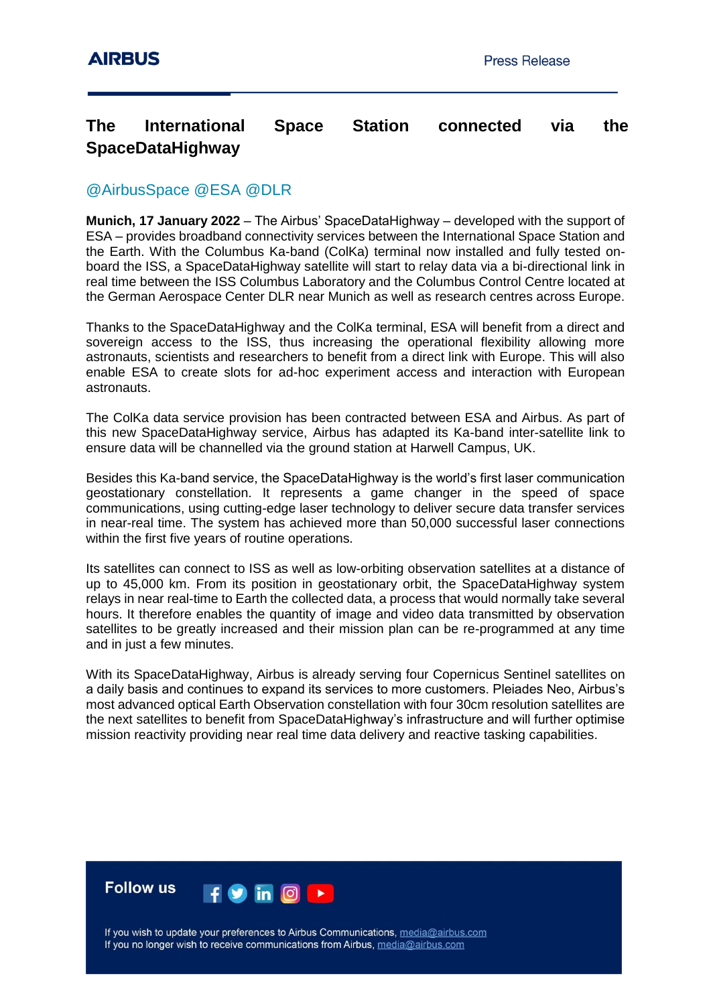## **The International Space Station connected via the SpaceDataHighway**

## @AirbusSpace @ESA @DLR

**Munich, 17 January 2022** – The Airbus' SpaceDataHighway – developed with the support of ESA – provides broadband connectivity services between the International Space Station and the Earth. With the Columbus Ka-band (ColKa) terminal now installed and fully tested onboard the ISS, a SpaceDataHighway satellite will start to relay data via a bi-directional link in real time between the ISS Columbus Laboratory and the Columbus Control Centre located at the German Aerospace Center DLR near Munich as well as research centres across Europe.

Thanks to the SpaceDataHighway and the ColKa terminal, ESA will benefit from a direct and sovereign access to the ISS, thus increasing the operational flexibility allowing more astronauts, scientists and researchers to benefit from a direct link with Europe. This will also enable ESA to create slots for ad-hoc experiment access and interaction with European astronauts.

The ColKa data service provision has been contracted between ESA and Airbus. As part of this new SpaceDataHighway service, Airbus has adapted its Ka-band inter-satellite link to ensure data will be channelled via the ground station at Harwell Campus, UK.

Besides this Ka-band service, the SpaceDataHighway is the world's first laser communication geostationary constellation. It represents a game changer in the speed of space communications, using cutting-edge laser technology to deliver secure data transfer services in near-real time. The system has achieved more than 50,000 successful laser connections within the first five years of routine operations.

Its satellites can connect to ISS as well as low-orbiting observation satellites at a distance of up to 45,000 km. From its position in geostationary orbit, the SpaceDataHighway system relays in near real-time to Earth the collected data, a process that would normally take several hours. It therefore enables the quantity of image and video data transmitted by observation satellites to be greatly increased and their mission plan can be re-programmed at any time and in just a few minutes.

With its SpaceDataHighway, Airbus is already serving four Copernicus Sentinel satellites on a daily basis and continues to expand its services to more customers. Pleiades Neo, Airbus's most advanced optical Earth Observation constellation with four 30cm resolution satellites are the next satellites to benefit from SpaceDataHighway's infrastructure and will further optimise mission reactivity providing near real time data delivery and reactive tasking capabilities.



If you wish to update your preferences to Airbus Communications, media@airbus.com If you no longer wish to receive communications from Airbus, media@airbus.com